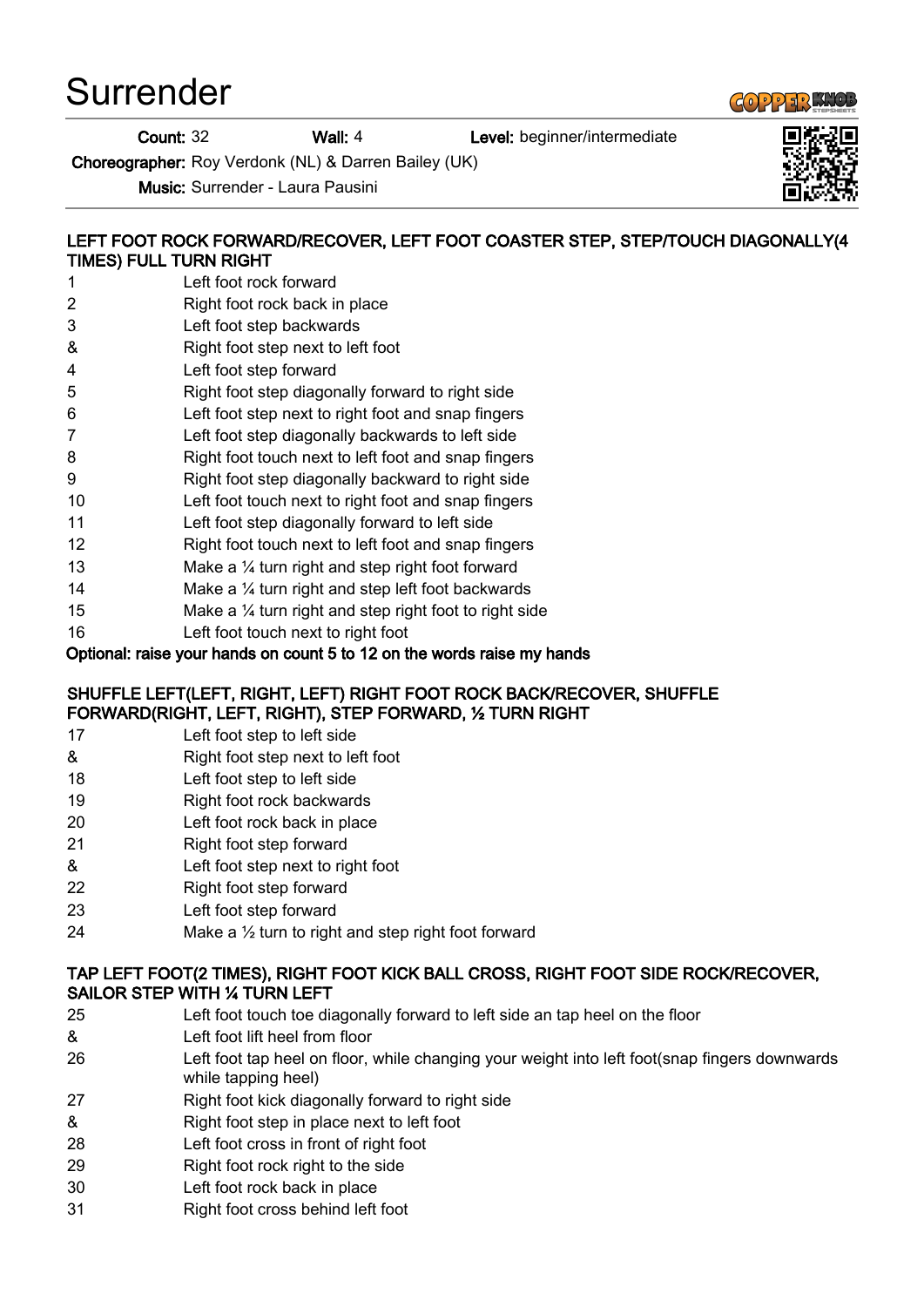Surrender

Count: 32 Wall: 4 Level: beginner/intermediate

Choreographer: Roy Verdonk (NL) & Darren Bailey (UK)

Music: Surrender - Laura Pausini

## LEFT FOOT ROCK FORWARD/RECOVER, LEFT FOOT COASTER STEP, STEP/TOUCH DIAGONALLY(4 TIMES) FULL TURN RIGHT

- 1 Left foot rock forward
- 2 Right foot rock back in place
- 3 Left foot step backwards
- & Right foot step next to left foot
- 4 Left foot step forward
- 5 Right foot step diagonally forward to right side
- 6 Left foot step next to right foot and snap fingers
- 7 Left foot step diagonally backwards to left side
- 8 Right foot touch next to left foot and snap fingers
- 9 Right foot step diagonally backward to right side
- 10 Left foot touch next to right foot and snap fingers
- 11 Left foot step diagonally forward to left side
- 12 Right foot touch next to left foot and snap fingers
- 13 Make a 1/4 turn right and step right foot forward
- 14 Make a ¼ turn right and step left foot backwards
- 15 Make a 1/4 turn right and step right foot to right side
- 16 Left foot touch next to right foot

### Optional: raise your hands on count 5 to 12 on the words raise my hands

#### SHUFFLE LEFT(LEFT, RIGHT, LEFT) RIGHT FOOT ROCK BACK/RECOVER, SHUFFLE FORWARD(RIGHT, LEFT, RIGHT), STEP FORWARD, ½ TURN RIGHT

- 17 Left foot step to left side
- & Right foot step next to left foot
- 18 Left foot step to left side
- 19 Right foot rock backwards
- 20 Left foot rock back in place
- 21 Right foot step forward
- & Left foot step next to right foot
- 22 Right foot step forward
- 23 Left foot step forward
- 24 Make a  $\frac{1}{2}$  turn to right and step right foot forward

### TAP LEFT FOOT(2 TIMES), RIGHT FOOT KICK BALL CROSS, RIGHT FOOT SIDE ROCK/RECOVER, SAILOR STEP WITH ¼ TURN LEFT

- 25 Left foot touch toe diagonally forward to left side an tap heel on the floor
- & Left foot lift heel from floor
- 26 Left foot tap heel on floor, while changing your weight into left foot(snap fingers downwards while tapping heel)
- 27 Right foot kick diagonally forward to right side
- & Right foot step in place next to left foot
- 28 Left foot cross in front of right foot
- 29 Right foot rock right to the side
- 30 Left foot rock back in place
- 31 Right foot cross behind left foot